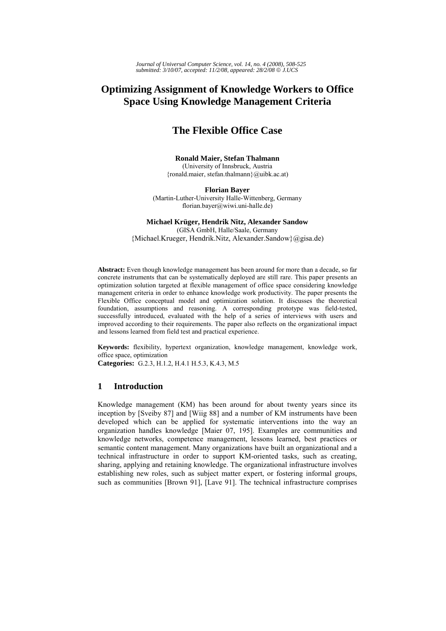# **Optimizing Assignment of Knowledge Workers to Office Space Using Knowledge Management Criteria**

# **The Flexible Office Case**

## **Ronald Maier, Stefan Thalmann**  (University of Innsbruck, Austria {ronald.maier, stefan.thalmann}@uibk.ac.at)

**Florian Bayer** (Martin-Luther-University Halle-Wittenberg, Germany florian.bayer@wiwi.uni-halle.de)

# **Michael Krüger, Hendrik Nitz, Alexander Sandow**  (GISA GmbH, Halle/Saale, Germany

{Michael.Krueger, Hendrik.Nitz, Alexander.Sandow}@gisa.de)

**Abstract:** Even though knowledge management has been around for more than a decade, so far concrete instruments that can be systematically deployed are still rare. This paper presents an optimization solution targeted at flexible management of office space considering knowledge management criteria in order to enhance knowledge work productivity. The paper presents the Flexible Office conceptual model and optimization solution. It discusses the theoretical foundation, assumptions and reasoning. A corresponding prototype was field-tested, successfully introduced, evaluated with the help of a series of interviews with users and improved according to their requirements. The paper also reflects on the organizational impact and lessons learned from field test and practical experience.

**Keywords:** flexibility, hypertext organization, knowledge management, knowledge work, office space, optimization

**Categories:** G.2.3, H.1.2, H.4.1 H.5.3, K.4.3, M.5

# **1 Introduction**

Knowledge management (KM) has been around for about twenty years since its inception by [Sveiby 87] and [Wiig 88] and a number of KM instruments have been developed which can be applied for systematic interventions into the way an organization handles knowledge [Maier 07, 195]. Examples are communities and knowledge networks, competence management, lessons learned, best practices or semantic content management. Many organizations have built an organizational and a technical infrastructure in order to support KM-oriented tasks, such as creating, sharing, applying and retaining knowledge. The organizational infrastructure involves establishing new roles, such as subject matter expert, or fostering informal groups, such as communities [Brown 91], [Lave 91]. The technical infrastructure comprises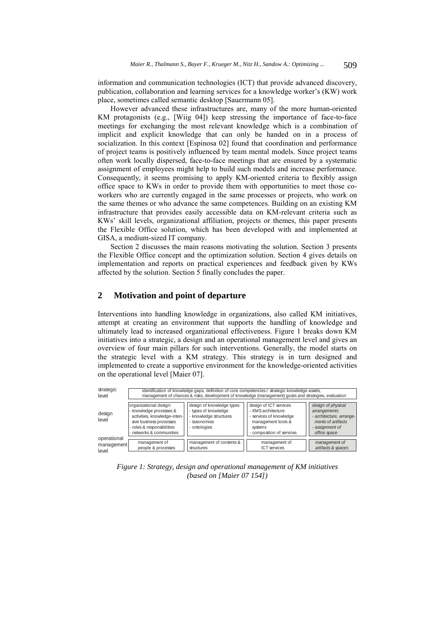information and communication technologies (ICT) that provide advanced discovery, publication, collaboration and learning services for a knowledge worker's (KW) work place, sometimes called semantic desktop [Sauermann 05].

However advanced these infrastructures are, many of the more human-oriented KM protagonists (e.g., [Wiig 04]) keep stressing the importance of face-to-face meetings for exchanging the most relevant knowledge which is a combination of implicit and explicit knowledge that can only be handed on in a process of socialization. In this context [Espinosa 02] found that coordination and performance of project teams is positively influenced by team mental models. Since project teams often work locally dispersed, face-to-face meetings that are ensured by a systematic assignment of employees might help to build such models and increase performance. Consequently, it seems promising to apply KM-oriented criteria to flexibly assign office space to KWs in order to provide them with opportunities to meet those coworkers who are currently engaged in the same processes or projects, who work on the same themes or who advance the same competences. Building on an existing KM infrastructure that provides easily accessible data on KM-relevant criteria such as KWs' skill levels, organizational affiliation, projects or themes, this paper presents the Flexible Office solution, which has been developed with and implemented at GISA, a medium-sized IT company.

Section 2 discusses the main reasons motivating the solution. Section 3 presents the Flexible Office concept and the optimization solution. Section 4 gives details on implementation and reports on practical experiences and feedback given by KWs affected by the solution. Section 5 finally concludes the paper.

# **2 Motivation and point of departure**

Interventions into handling knowledge in organizations, also called KM initiatives, attempt at creating an environment that supports the handling of knowledge and ultimately lead to increased organizational effectiveness. Figure 1 breaks down KM initiatives into a strategic, a design and an operational management level and gives an overview of four main pillars for such interventions. Generally, the model starts on the strategic level with a KM strategy. This strategy is in turn designed and implemented to create a supportive environment for the knowledge-oriented activities on the operational level [Maier 07].

| strategic<br>level                 | identification of knowledge gaps, definition of core competencies / strategic knowledge assets,<br>management of chances & risks, development of knowledge (management) goals and strategies, evaluation |                                                                                                             |                                                                                                                                       |                                                                                                                         |  |
|------------------------------------|----------------------------------------------------------------------------------------------------------------------------------------------------------------------------------------------------------|-------------------------------------------------------------------------------------------------------------|---------------------------------------------------------------------------------------------------------------------------------------|-------------------------------------------------------------------------------------------------------------------------|--|
| design<br>level                    | organizational design:<br>- knowledge processes &<br>activities, knowledge-inten-<br>sive business processes<br>- roles & responsibilities<br>- networks & communities                                   | design of knowledge types<br>- types of knowledge<br>- knowledge structures<br>- taxonomies<br>- ontologies | design of ICT services<br>- KMS architecture<br>- services of knowledge<br>management tools &<br>systems<br>- composition of services | design of physical<br>arrangements<br>- architecture, arrange-<br>ments of artifacts<br>- assignment of<br>office space |  |
| operational<br>management<br>level | management of<br>people & processes                                                                                                                                                                      | management of contents &<br>structures                                                                      | management of<br><b>ICT</b> services                                                                                                  | management of<br>artifacts & spaces                                                                                     |  |

*Figure 1: Strategy, design and operational management of KM initiatives (based on [Maier 07 154])*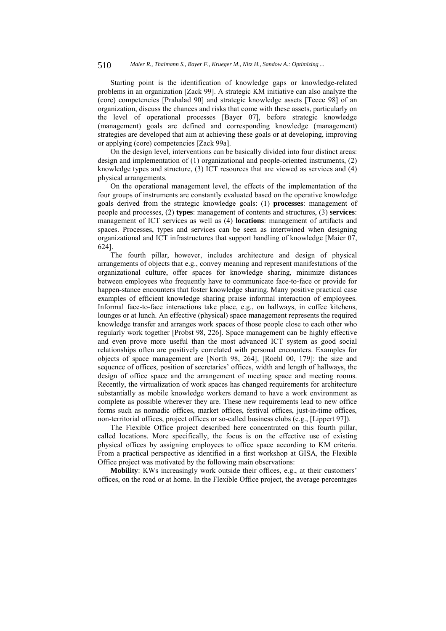Starting point is the identification of knowledge gaps or knowledge-related problems in an organization [Zack 99]. A strategic KM initiative can also analyze the (core) competencies [Prahalad 90] and strategic knowledge assets [Teece 98] of an organization, discuss the chances and risks that come with these assets, particularly on the level of operational processes [Bayer 07], before strategic knowledge (management) goals are defined and corresponding knowledge (management) strategies are developed that aim at achieving these goals or at developing, improving or applying (core) competencies [Zack 99a].

On the design level, interventions can be basically divided into four distinct areas: design and implementation of (1) organizational and people-oriented instruments, (2) knowledge types and structure, (3) ICT resources that are viewed as services and (4) physical arrangements.

On the operational management level, the effects of the implementation of the four groups of instruments are constantly evaluated based on the operative knowledge goals derived from the strategic knowledge goals: (1) **processes**: management of people and processes, (2) **types**: management of contents and structures, (3) **services**: management of ICT services as well as (4) **locations**: management of artifacts and spaces. Processes, types and services can be seen as intertwined when designing organizational and ICT infrastructures that support handling of knowledge [Maier 07, 624].

The fourth pillar, however, includes architecture and design of physical arrangements of objects that e.g., convey meaning and represent manifestations of the organizational culture, offer spaces for knowledge sharing, minimize distances between employees who frequently have to communicate face-to-face or provide for happen-stance encounters that foster knowledge sharing. Many positive practical case examples of efficient knowledge sharing praise informal interaction of employees. Informal face-to-face interactions take place, e.g., on hallways, in coffee kitchens, lounges or at lunch. An effective (physical) space management represents the required knowledge transfer and arranges work spaces of those people close to each other who regularly work together [Probst 98, 226]. Space management can be highly effective and even prove more useful than the most advanced ICT system as good social relationships often are positively correlated with personal encounters. Examples for objects of space management are [North 98, 264], [Roehl 00, 179]: the size and sequence of offices, position of secretaries' offices, width and length of hallways, the design of office space and the arrangement of meeting space and meeting rooms. Recently, the virtualization of work spaces has changed requirements for architecture substantially as mobile knowledge workers demand to have a work environment as complete as possible wherever they are. These new requirements lead to new office forms such as nomadic offices, market offices, festival offices, just-in-time offices, non-territorial offices, project offices or so-called business clubs (e.g., [Lippert 97]).

The Flexible Office project described here concentrated on this fourth pillar, called locations. More specifically, the focus is on the effective use of existing physical offices by assigning employees to office space according to KM criteria. From a practical perspective as identified in a first workshop at GISA, the Flexible Office project was motivated by the following main observations:

**Mobility**: KWs increasingly work outside their offices, e.g., at their customers' offices, on the road or at home. In the Flexible Office project, the average percentages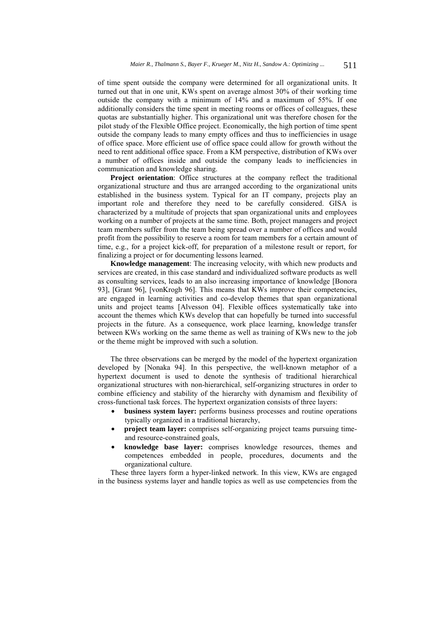of time spent outside the company were determined for all organizational units. It turned out that in one unit, KWs spent on average almost 30% of their working time outside the company with a minimum of 14% and a maximum of 55%. If one additionally considers the time spent in meeting rooms or offices of colleagues, these quotas are substantially higher. This organizational unit was therefore chosen for the pilot study of the Flexible Office project. Economically, the high portion of time spent outside the company leads to many empty offices and thus to inefficiencies in usage of office space. More efficient use of office space could allow for growth without the need to rent additional office space. From a KM perspective, distribution of KWs over a number of offices inside and outside the company leads to inefficiencies in communication and knowledge sharing.

**Project orientation**: Office structures at the company reflect the traditional organizational structure and thus are arranged according to the organizational units established in the business system. Typical for an IT company, projects play an important role and therefore they need to be carefully considered. GISA is characterized by a multitude of projects that span organizational units and employees working on a number of projects at the same time. Both, project managers and project team members suffer from the team being spread over a number of offices and would profit from the possibility to reserve a room for team members for a certain amount of time, e.g., for a project kick-off, for preparation of a milestone result or report, for finalizing a project or for documenting lessons learned.

**Knowledge management**: The increasing velocity, with which new products and services are created, in this case standard and individualized software products as well as consulting services, leads to an also increasing importance of knowledge [Bonora 93], [Grant 96], [vonKrogh 96]. This means that KWs improve their competencies, are engaged in learning activities and co-develop themes that span organizational units and project teams [Alvesson 04]. Flexible offices systematically take into account the themes which KWs develop that can hopefully be turned into successful projects in the future. As a consequence, work place learning, knowledge transfer between KWs working on the same theme as well as training of KWs new to the job or the theme might be improved with such a solution.

The three observations can be merged by the model of the hypertext organization developed by [Nonaka 94]. In this perspective, the well-known metaphor of a hypertext document is used to denote the synthesis of traditional hierarchical organizational structures with non-hierarchical, self-organizing structures in order to combine efficiency and stability of the hierarchy with dynamism and flexibility of cross-functional task forces. The hypertext organization consists of three layers:

- **business system layer:** performs business processes and routine operations typically organized in a traditional hierarchy,
- **project team layer:** comprises self-organizing project teams pursuing timeand resource-constrained goals,
- **knowledge base layer:** comprises knowledge resources, themes and competences embedded in people, procedures, documents and the organizational culture.

These three layers form a hyper-linked network. In this view, KWs are engaged in the business systems layer and handle topics as well as use competencies from the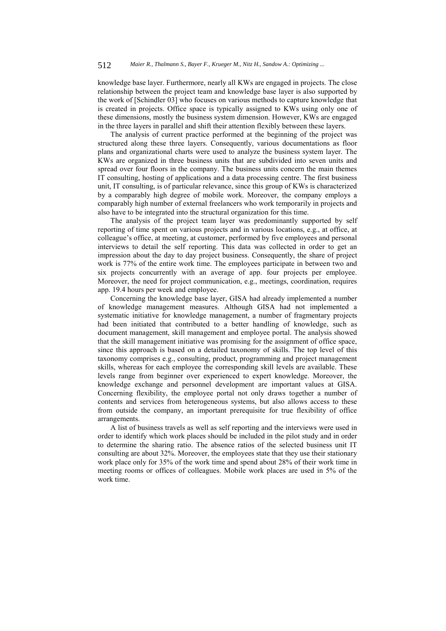knowledge base layer. Furthermore, nearly all KWs are engaged in projects. The close relationship between the project team and knowledge base layer is also supported by the work of [Schindler 03] who focuses on various methods to capture knowledge that is created in projects. Office space is typically assigned to KWs using only one of these dimensions, mostly the business system dimension. However, KWs are engaged in the three layers in parallel and shift their attention flexibly between these layers.

The analysis of current practice performed at the beginning of the project was structured along these three layers. Consequently, various documentations as floor plans and organizational charts were used to analyze the business system layer. The KWs are organized in three business units that are subdivided into seven units and spread over four floors in the company. The business units concern the main themes IT consulting, hosting of applications and a data processing centre. The first business unit, IT consulting, is of particular relevance, since this group of KWs is characterized by a comparably high degree of mobile work. Moreover, the company employs a comparably high number of external freelancers who work temporarily in projects and also have to be integrated into the structural organization for this time.

The analysis of the project team layer was predominantly supported by self reporting of time spent on various projects and in various locations, e.g., at office, at colleague's office, at meeting, at customer, performed by five employees and personal interviews to detail the self reporting. This data was collected in order to get an impression about the day to day project business. Consequently, the share of project work is 77% of the entire work time. The employees participate in between two and six projects concurrently with an average of app. four projects per employee. Moreover, the need for project communication, e.g., meetings, coordination, requires app. 19.4 hours per week and employee.

Concerning the knowledge base layer, GISA had already implemented a number of knowledge management measures. Although GISA had not implemented a systematic initiative for knowledge management, a number of fragmentary projects had been initiated that contributed to a better handling of knowledge, such as document management, skill management and employee portal. The analysis showed that the skill management initiative was promising for the assignment of office space, since this approach is based on a detailed taxonomy of skills. The top level of this taxonomy comprises e.g., consulting, product, programming and project management skills, whereas for each employee the corresponding skill levels are available. These levels range from beginner over experienced to expert knowledge. Moreover, the knowledge exchange and personnel development are important values at GISA. Concerning flexibility, the employee portal not only draws together a number of contents and services from heterogeneous systems, but also allows access to these from outside the company, an important prerequisite for true flexibility of office arrangements.

A list of business travels as well as self reporting and the interviews were used in order to identify which work places should be included in the pilot study and in order to determine the sharing ratio. The absence ratios of the selected business unit IT consulting are about 32%. Moreover, the employees state that they use their stationary work place only for 35% of the work time and spend about 28% of their work time in meeting rooms or offices of colleagues. Mobile work places are used in 5% of the work time.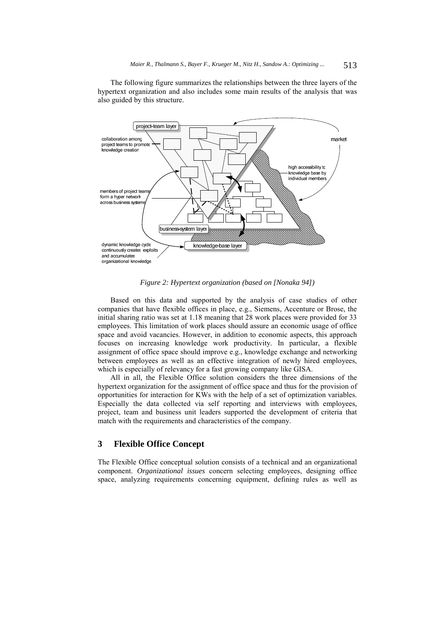The following figure summarizes the relationships between the three layers of the hypertext organization and also includes some main results of the analysis that was also guided by this structure.



*Figure 2: Hypertext organization (based on [Nonaka 94])* 

Based on this data and supported by the analysis of case studies of other companies that have flexible offices in place, e.g., Siemens, Accenture or Brose, the initial sharing ratio was set at 1.18 meaning that 28 work places were provided for 33 employees. This limitation of work places should assure an economic usage of office space and avoid vacancies. However, in addition to economic aspects, this approach focuses on increasing knowledge work productivity. In particular, a flexible assignment of office space should improve e.g., knowledge exchange and networking between employees as well as an effective integration of newly hired employees, which is especially of relevancy for a fast growing company like GISA.

All in all, the Flexible Office solution considers the three dimensions of the hypertext organization for the assignment of office space and thus for the provision of opportunities for interaction for KWs with the help of a set of optimization variables. Especially the data collected via self reporting and interviews with employees, project, team and business unit leaders supported the development of criteria that match with the requirements and characteristics of the company.

# **3 Flexible Office Concept**

The Flexible Office conceptual solution consists of a technical and an organizational component. *Organizational issues* concern selecting employees, designing office space, analyzing requirements concerning equipment, defining rules as well as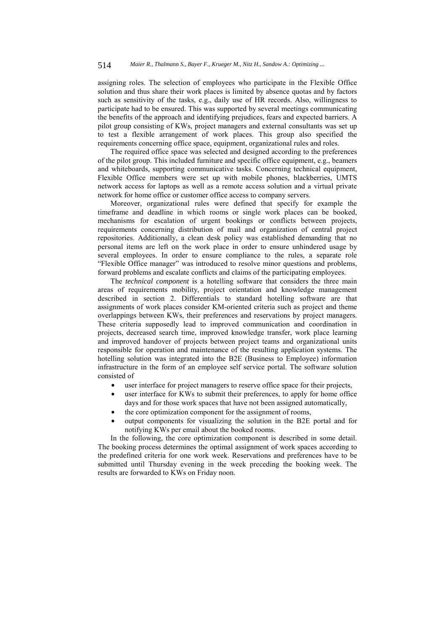assigning roles. The selection of employees who participate in the Flexible Office solution and thus share their work places is limited by absence quotas and by factors such as sensitivity of the tasks, e.g., daily use of HR records. Also, willingness to participate had to be ensured. This was supported by several meetings communicating the benefits of the approach and identifying prejudices, fears and expected barriers. A pilot group consisting of KWs, project managers and external consultants was set up to test a flexible arrangement of work places. This group also specified the requirements concerning office space, equipment, organizational rules and roles.

The required office space was selected and designed according to the preferences of the pilot group. This included furniture and specific office equipment, e.g., beamers and whiteboards, supporting communicative tasks. Concerning technical equipment, Flexible Office members were set up with mobile phones, blackberries, UMTS network access for laptops as well as a remote access solution and a virtual private network for home office or customer office access to company servers.

Moreover, organizational rules were defined that specify for example the timeframe and deadline in which rooms or single work places can be booked, mechanisms for escalation of urgent bookings or conflicts between projects, requirements concerning distribution of mail and organization of central project repositories. Additionally, a clean desk policy was established demanding that no personal items are left on the work place in order to ensure unhindered usage by several employees. In order to ensure compliance to the rules, a separate role "Flexible Office manager" was introduced to resolve minor questions and problems, forward problems and escalate conflicts and claims of the participating employees.

The *technical component* is a hotelling software that considers the three main areas of requirements mobility, project orientation and knowledge management described in section 2. Differentials to standard hotelling software are that assignments of work places consider KM-oriented criteria such as project and theme overlappings between KWs, their preferences and reservations by project managers. These criteria supposedly lead to improved communication and coordination in projects, decreased search time, improved knowledge transfer, work place learning and improved handover of projects between project teams and organizational units responsible for operation and maintenance of the resulting application systems. The hotelling solution was integrated into the B2E (Business to Employee) information infrastructure in the form of an employee self service portal. The software solution consisted of

- user interface for project managers to reserve office space for their projects,
- user interface for KWs to submit their preferences, to apply for home office days and for those work spaces that have not been assigned automatically,
- the core optimization component for the assignment of rooms,
- output components for visualizing the solution in the B2E portal and for notifying KWs per email about the booked rooms.

In the following, the core optimization component is described in some detail. The booking process determines the optimal assignment of work spaces according to the predefined criteria for one work week. Reservations and preferences have to be submitted until Thursday evening in the week preceding the booking week. The results are forwarded to KWs on Friday noon.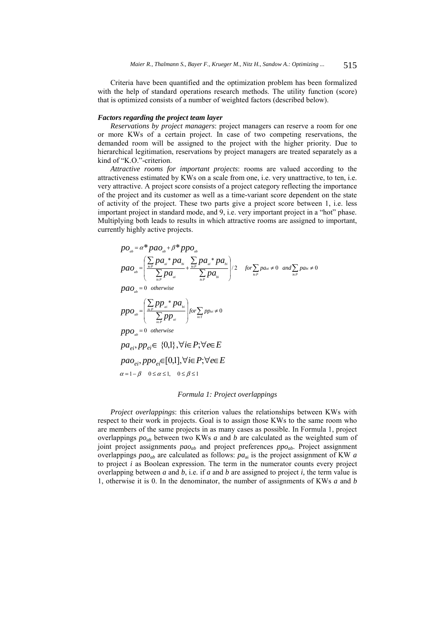Criteria have been quantified and the optimization problem has been formalized with the help of standard operations research methods. The utility function (score) that is optimized consists of a number of weighted factors (described below).

### *Factors regarding the project team layer*

*Reservations by project managers*: project managers can reserve a room for one or more KWs of a certain project. In case of two competing reservations, the demanded room will be assigned to the project with the higher priority. Due to hierarchical legitimation, reservations by project managers are treated separately as a kind of "K.O."-criterion.

*Attractive rooms for important projects*: rooms are valued according to the attractiveness estimated by KWs on a scale from one, i.e. very unattractive, to ten, i.e. very attractive. A project score consists of a project category reflecting the importance of the project and its customer as well as a time-variant score dependent on the state of activity of the project. These two parts give a project score between 1, i.e. less important project in standard mode, and 9, i.e. very important project in a "hot" phase. Multiplying both leads to results in which attractive rooms are assigned to important, currently highly active projects.

$$
po_{ab} = \alpha^* pa_{ab} + \beta^* pp_{ab}
$$
\n
$$
pa_{ab} = \left(\frac{\sum_{i\in P} pa_{ai} * pa_{bi}}{\sum_{i\in P} pa_{ai}} + \frac{\sum_{i\in P} pa_{ai} * pa_{bi}}{\sum_{i\in P} pa_{bi}}\right) / 2 \quad \text{for } \sum_{i\in P} pa_{ai} \neq 0 \text{ and } \sum_{i\in P} pa_{bi} \neq 0
$$
\n
$$
pao_{ab} = 0 \quad \text{otherwise}
$$
\n
$$
ppo_{ab} = \left(\frac{\sum_{i\in P} pp_{ai} * pa_{bi}}{\sum_{i\in P} pp_{ai}}\right) \text{for } \sum_{i\in T} ppa_{ai} \neq 0
$$
\n
$$
ppo_{ab} = 0 \quad \text{otherwise}
$$
\n
$$
pa_{ei}, pp_{ei} \in \{0,1\}, \forall i \in P; \forall e \in E
$$
\n
$$
pao_{ei}, ppo_{ei} \in [0,1], \forall i \in P; \forall e \in E
$$
\n
$$
\alpha = 1 - \beta \quad 0 \le \alpha \le 1, \quad 0 \le \beta \le 1
$$

### *Formula 1: Project overlappings*

*Project overlappings*: this criterion values the relationships between KWs with respect to their work in projects. Goal is to assign those KWs to the same room who are members of the same projects in as many cases as possible. In Formula 1, project overlappings *poab* between two KWs *a* and *b* are calculated as the weighted sum of joint project assignments *paoab* and project preferences *ppoab*. Project assignment overlappings  $p a o_{ab}$  are calculated as follows:  $p a_{ai}$  is the project assignment of KW *a* to project *i* as Boolean expression. The term in the numerator counts every project overlapping between *a* and *b*, i.e. if *a* and *b* are assigned to project *i,* the term value is 1, otherwise it is 0. In the denominator, the number of assignments of KWs *a* and *b*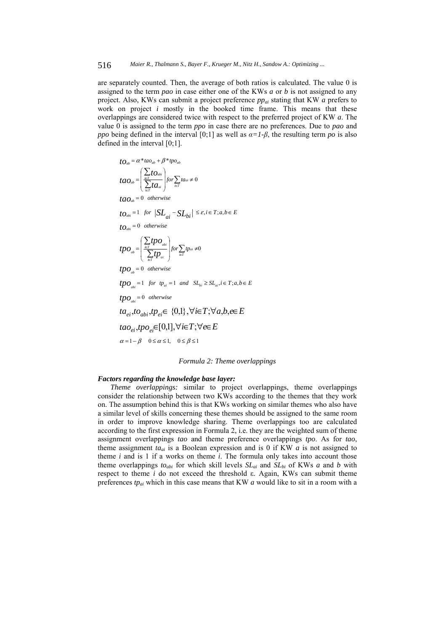are separately counted. Then, the average of both ratios is calculated. The value 0 is assigned to the term *pao* in case either one of the KWs *a* or *b* is not assigned to any project. Also, KWs can submit a project preference *ppai* stating that KW *a* prefers to work on project *i* mostly in the booked time frame. This means that these overlappings are considered twice with respect to the preferred project of KW *a*. The value 0 is assigned to the term *ppo* in case there are no preferences. Due to *pao* and *ppo* being defined in the interval [0;1] as well as  $\alpha = I - \beta$ , the resulting term *po* is also defined in the interval [0;1].

$$
to_{ab} = \alpha^* \tan_{ab} + \beta^* \text{tpo}_{ab}
$$
  
\n
$$
tao_{ab} = \left(\sum_{i \in T} t o_{ab} \right) \text{ for } \sum_{i \in T} t a_{ai} \neq 0
$$
  
\n
$$
tao_{ab} = 0 \text{ otherwise}
$$
  
\n
$$
to_{ab} = 1 \text{ for } |SL_{ai} - SL_{bi}| \leq \varepsilon, i \in T; a, b \in E
$$
  
\n
$$
to_{ab} = 0 \text{ otherwise}
$$
  
\n
$$
tpo_{ab} = \left(\sum_{i \in T} tp o_{ab} \right) \text{ for } \sum_{i \in T} tp_{ai} \neq 0
$$
  
\n
$$
tpo_{ab} = 0 \text{ otherwise}
$$
  
\n
$$
tpo_{ab} = 1 \text{ for } tp_{ai} = 1 \text{ and } SL_{bi} \geq SL_{ai}, i \in T; a, b \in E
$$
  
\n
$$
tpo_{ab} = 0 \text{ otherwise}
$$
  
\n
$$
tao_{bi}, to_{abi}, tp_{ei} \in \{0,1\}, \forall i \in T; \forall a, b, e \in E
$$
  
\n
$$
tao_{ei}, tpo_{ei} \in [0,1], \forall i \in T; \forall e \in E
$$
  
\n
$$
\alpha = 1 - \beta \quad 0 \leq \alpha \leq 1, \quad 0 \leq \beta \leq 1
$$

*Formula 2: Theme overlappings* 

### *Factors regarding the knowledge base layer:*

*Theme overlappings:* similar to project overlappings, theme overlappings consider the relationship between two KWs according to the themes that they work on. The assumption behind this is that KWs working on similar themes who also have a similar level of skills concerning these themes should be assigned to the same room in order to improve knowledge sharing. Theme overlappings too are calculated according to the first expression in Formula 2, i.e. they are the weighted sum of theme assignment overlappings *tao* and theme preference overlappings *tpo*. As for *tao*, theme assignment  $ta_{ai}$  is a Boolean expression and is 0 if KW  $a$  is not assigned to theme *i* and is 1 if a works on theme *i*. The formula only takes into account those theme overlappings  $to_{abi}$  for which skill levels  $SL_{ai}$  and  $SL_{bi}$  of KWs *a* and *b* with respect to theme *i* do not exceed the threshold ε. Again, KWs can submit theme preferences *tpai* which in this case means that KW *a* would like to sit in a room with a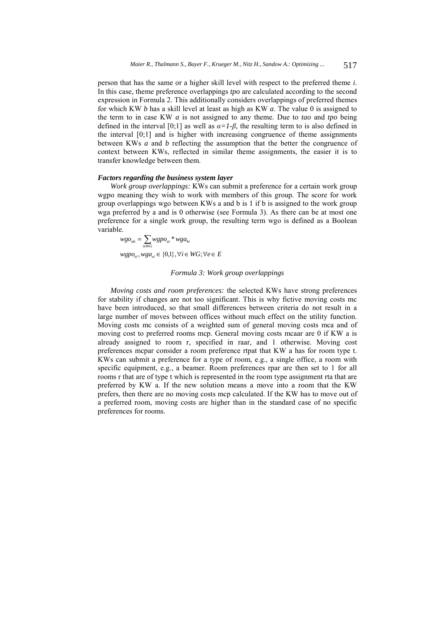person that has the same or a higher skill level with respect to the preferred theme *i*. In this case, theme preference overlappings *tpo* are calculated according to the second expression in Formula 2. This additionally considers overlappings of preferred themes for which KW *b* has a skill level at least as high as KW *a*. The value 0 is assigned to the term to in case KW *a* is not assigned to any theme. Due to *tao* and *tpo* being defined in the interval [0;1] as well as  $\alpha = I - \beta$ , the resulting term to is also defined in the interval [0;1] and is higher with increasing congruence of theme assignments between KWs *a* and *b* reflecting the assumption that the better the congruence of context between KWs, reflected in similar theme assignments, the easier it is to transfer knowledge between them.

### *Factors regarding the business system layer*

*Work group overlappings:* KWs can submit a preference for a certain work group wgpo meaning they wish to work with members of this group. The score for work group overlappings wgo between KWs a and b is 1 if b is assigned to the work group wga preferred by a and is 0 otherwise (see Formula 3). As there can be at most one preference for a single work group, the resulting term wgo is defined as a Boolean variable.

 $wgpo_{ei}, wga_{ei} \in \{0,1\}, \forall i \in WG; \forall e \in E$  $wgo_{ab} = \sum_{i \in WG} wgpo_{ai} * wga_{bi}$ 

#### *Formula 3: Work group overlappings*

*Moving costs and room preferences:* the selected KWs have strong preferences for stability if changes are not too significant. This is why fictive moving costs mc have been introduced, so that small differences between criteria do not result in a large number of moves between offices without much effect on the utility function. Moving costs mc consists of a weighted sum of general moving costs mca and of moving cost to preferred rooms mcp. General moving costs mcaar are 0 if KW a is already assigned to room r, specified in raar, and 1 otherwise. Moving cost preferences mcpar consider a room preference rtpat that KW a has for room type t. KWs can submit a preference for a type of room, e.g., a single office, a room with specific equipment, e.g., a beamer. Room preferences rpar are then set to 1 for all rooms r that are of type t which is represented in the room type assignment rta that are preferred by KW a. If the new solution means a move into a room that the KW prefers, then there are no moving costs mcp calculated. If the KW has to move out of a preferred room, moving costs are higher than in the standard case of no specific preferences for rooms.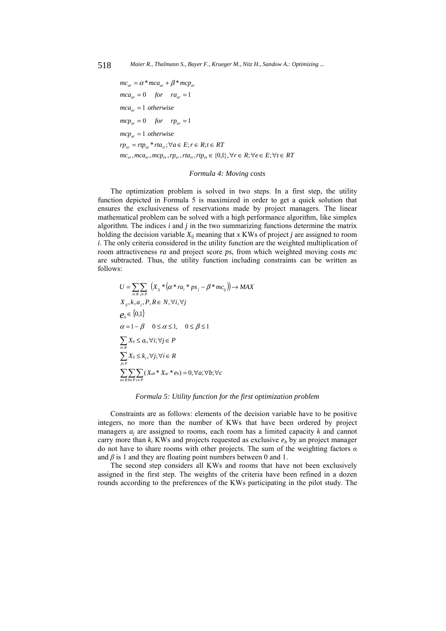```
mc_{er}, mca_{er}, mcp_{er}, rp_{er}, rta_{rt}, rtp_{et} \in \{0,1\}, \forall r \in R; \forall e \in E; \forall t \in RTrp_{ar} = rtp_{at} * rta_{rt}; \forall a \in E; r \in R; t \in RTmc p_{ar} = 1 otherwise
mcp_{ar} = 0 for rp_{ar} = 1mc a_{ar} = 1 otherwise
mc a_{ar} = 0 for ra_{ar} = 1mc_{ar} = \alpha * mc a_{ar} + \beta * mc p_{ar}
```
### *Formula 4: Moving costs*

The optimization problem is solved in two steps. In a first step, the utility function depicted in Formula 5 is maximized in order to get a quick solution that ensures the exclusiveness of reservations made by project managers. The linear mathematical problem can be solved with a high performance algorithm, like simplex algorithm. The indices *i* and *j* in the two summarizing functions determine the matrix holding the decision variable  $X_{ij}$  meaning that *x* KWs of project *j* are assigned to room *i*. The only criteria considered in the utility function are the weighted multiplication of room attractiveness *ra* and project score *ps*, from which weighted moving costs *mc* are subtracted. Thus, the utility function including constraints can be written as follows:

$$
U = \sum_{i \in R} \sum_{j \in P} \left( X_{ij} * (\alpha * ra_i * ps_j - \beta * mc_{ij}) \right) \to MAX
$$
  
\n
$$
X_{ij}, k, a_j, P, R \in N, \forall i, \forall j
$$
  
\n
$$
e_b \in \{0,1\}
$$
  
\n
$$
\alpha = 1 - \beta \quad 0 \le \alpha \le 1, \quad 0 \le \beta \le 1
$$
  
\n
$$
\sum_{i \in R} X_{ij} \le a_j, \forall i; \forall j \in P
$$
  
\n
$$
\sum_{j \in P} X_{ij} \le k_j, \forall j; \forall i \in R
$$
  
\n
$$
\sum_{a \in R} \sum_{b \in P} \sum_{c \in P} (X_{ab} * X_{ac} * e_b) = 0, \forall a; \forall b; \forall c
$$

### *Formula 5: Utility function for the first optimization problem*

Constraints are as follows: elements of the decision variable have to be positive integers, no more than the number of KWs that have been ordered by project managers *aj* are assigned to rooms, each room has a limited capacity *k* and cannot carry more than  $k_i$  KWs and projects requested as exclusive  $e_b$  by an project manager do not have to share rooms with other projects. The sum of the weighting factors *α* and  $\beta$  is 1 and they are floating point numbers between 0 and 1.

The second step considers all KWs and rooms that have not been exclusively assigned in the first step. The weights of the criteria have been refined in a dozen rounds according to the preferences of the KWs participating in the pilot study. The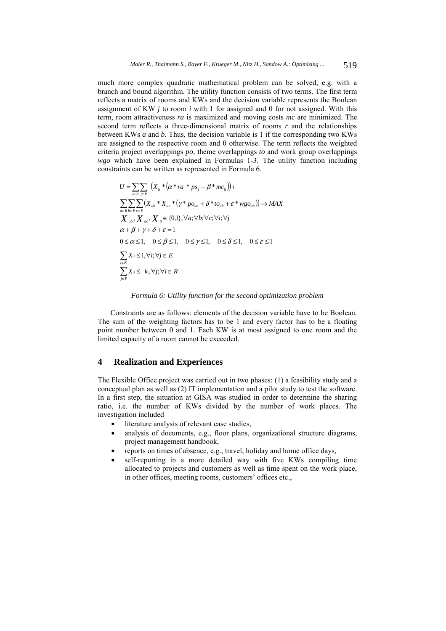much more complex quadratic mathematical problem can be solved, e.g. with a branch and bound algorithm. The utility function consists of two terms. The first term reflects a matrix of rooms and KWs and the decision variable represents the Boolean assignment of KW *j* to room *i* with 1 for assigned and 0 for not assigned. With this term, room attractiveness *ra* is maximized and moving costs *mc* are minimized. The second term reflects a three-dimensional matrix of rooms *r* and the relationships between KWs *a* and *b*. Thus, the decision variable is 1 if the corresponding two KWs are assigned to the respective room and 0 otherwise. The term reflects the weighted criteria project overlappings *po*, theme overlappings *to* and work group overlappings *wgo* which have been explained in Formulas 1-3. The utility function including constraints can be written as represented in Formula 6.

$$
U = \sum_{i \in R} \sum_{j \in P} \left( X_{ij} * (\alpha * ra_i * ps_j - \beta * mc_{ij}) \right) +
$$
  
\n
$$
\sum_{a \in R} \sum_{b \in E} \sum_{c \in E} \left( X_{ab} * X_{ac} * (\gamma * po_{ab} + \delta * to_{ab} + \varepsilon * wgo_{ab}) \right) \rightarrow MAX
$$
  
\n
$$
X_{ab} \cdot X_{ac} \cdot X_{ij} \in \{0,1\}, \forall a; \forall b; \forall c; \forall i; \forall j
$$
  
\n
$$
\alpha + \beta + \gamma + \delta + \varepsilon = 1
$$
  
\n
$$
0 \le \alpha \le 1, \quad 0 \le \beta \le 1, \quad 0 \le \gamma \le 1, \quad 0 \le \delta \le 1, \quad 0 \le \varepsilon \le 1
$$
  
\n
$$
\sum_{i \in R} X_{ij} \le 1, \forall i; \forall j \in E
$$
  
\n
$$
\sum_{j \in P} X_{ij} \le k_i, \forall j; \forall i \in R
$$

### *Formula 6: Utility function for the second optimization problem*

Constraints are as follows: elements of the decision variable have to be Boolean. The sum of the weighting factors has to be 1 and every factor has to be a floating point number between 0 and 1. Each KW is at most assigned to one room and the limited capacity of a room cannot be exceeded.

# **4 Realization and Experiences**

The Flexible Office project was carried out in two phases: (1) a feasibility study and a conceptual plan as well as (2) IT implementation and a pilot study to test the software. In a first step, the situation at GISA was studied in order to determine the sharing ratio, i.e. the number of KWs divided by the number of work places. The investigation included

- literature analysis of relevant case studies,
- analysis of documents, e.g., floor plans, organizational structure diagrams, project management handbook,
- reports on times of absence, e.g., travel, holiday and home office days,
- self-reporting in a more detailed way with five KWs compiling time allocated to projects and customers as well as time spent on the work place, in other offices, meeting rooms, customers' offices etc.,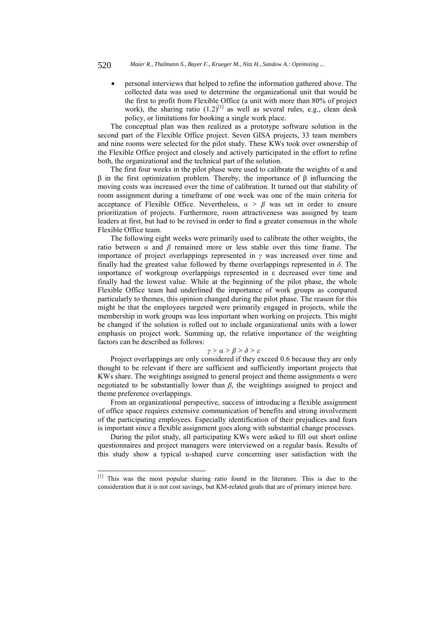### 520 *Maier R., Thalmann S., Bayer F., Krueger M., Nitz H., Sandow A.: Optimizing ...*

• personal interviews that helped to refine the information gathered above. The collected data was used to determine the organizational unit that would be the first to profit from Flexible Office (a unit with more than 80% of project work), the sharing ratio  $(1.2)^{[1]}$  as well as several rules, e.g., clean desk policy, or limitations for booking a single work place.

The conceptual plan was then realized as a prototype software solution in the second part of the Flexible Office project. Seven GISA projects, 33 team members and nine rooms were selected for the pilot study. These KWs took over ownership of the Flexible Office project and closely and actively participated in the effort to refine both, the organizational and the technical part of the solution.

The first four weeks in the pilot phase were used to calibrate the weights of  $\alpha$  and β in the first optimization problem. Thereby, the importance of β influencing the moving costs was increased over the time of calibration. It turned out that stability of room assignment during a timeframe of one week was one of the main criteria for acceptance of Flexible Office. Nevertheless,  $\alpha > \beta$  was set in order to ensure prioritization of projects. Furthermore, room attractiveness was assigned by team leaders at first, but had to be revised in order to find a greater consensus in the whole Flexible Office team.

The following eight weeks were primarily used to calibrate the other weights, the ratio between  $\alpha$  and  $\beta$  remained more or less stable over this time frame. The importance of project overlappings represented in *γ* was increased over time and finally had the greatest value followed by theme overlappings represented in  $\delta$ . The importance of workgroup overlappings represented in ε decreased over time and finally had the lowest value. While at the beginning of the pilot phase, the whole Flexible Office team had underlined the importance of work groups as compared particularly to themes, this opinion changed during the pilot phase. The reason for this might be that the employees targeted were primarily engaged in projects, while the membership in work groups was less important when working on projects. This might be changed if the solution is rolled out to include organizational units with a lower emphasis on project work. Summing up, the relative importance of the weighting factors can be described as follows:

# *γ > α > β > δ > ε*

Project overlappings are only considered if they exceed 0.6 because they are only thought to be relevant if there are sufficient and sufficiently important projects that KWs share. The weightings assigned to general project and theme assignments α were negotiated to be substantially lower than *β*, the weightings assigned to project and theme preference overlappings.

From an organizational perspective, success of introducing a flexible assignment of office space requires extensive communication of benefits and strong involvement of the participating employees. Especially identification of their prejudices and fears is important since a flexible assignment goes along with substantial change processes.

During the pilot study, all participating KWs were asked to fill out short online questionnaires and project managers were interviewed on a regular basis. Results of this study show a typical u-shaped curve concerning user satisfaction with the

l

<sup>[1]</sup> This was the most popular sharing ratio found in the literature. This is due to the consideration that it is not cost savings, but KM-related goals that are of primary interest here.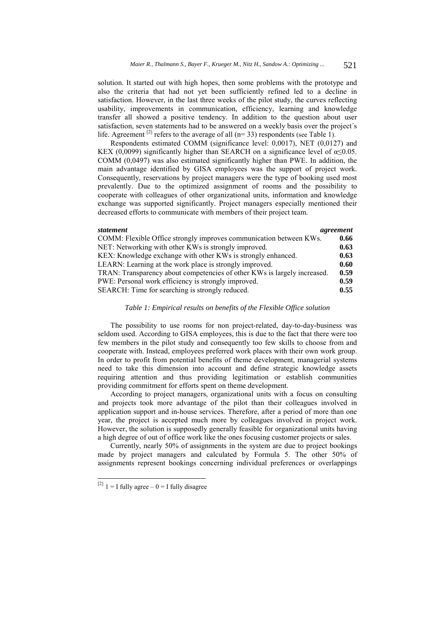solution. It started out with high hopes, then some problems with the prototype and also the criteria that had not yet been sufficiently refined led to a decline in satisfaction. However, in the last three weeks of the pilot study, the curves reflecting usability, improvements in communication, efficiency, learning and knowledge transfer all showed a positive tendency. In addition to the question about user satisfaction, seven statements had to be answered on a weekly basis over the project´s life. Agreement <sup>[2]</sup> refers to the average of all ( $n=33$ ) respondents (see Table 1).

Respondents estimated COMM (significance level: 0,0017), NET (0,0127) and KEX (0,0099) significantly higher than SEARCH on a significance level of  $\alpha \le 0.05$ . COMM (0,0497) was also estimated significantly higher than PWE. In addition, the main advantage identified by GISA employees was the support of project work. Consequently, reservations by project managers were the type of booking used most prevalently. Due to the optimized assignment of rooms and the possibility to cooperate with colleagues of other organizational units, information and knowledge exchange was supported significantly. Project managers especially mentioned their decreased efforts to communicate with members of their project team.

| statement                                                                | agreement |
|--------------------------------------------------------------------------|-----------|
| COMM: Flexible Office strongly improves communication between KWs.       | 0.66      |
| NET: Networking with other KWs is strongly improved.                     | 0.63      |
| KEX: Knowledge exchange with other KWs is strongly enhanced.             | 0.63      |
| LEARN: Learning at the work place is strongly improved.                  | 0.60      |
| TRAN: Transparency about competencies of other KWs is largely increased. | 0.59      |
| PWE: Personal work efficiency is strongly improved.                      | 0.59      |
| SEARCH: Time for searching is strongly reduced.                          | 0.55      |

## *Table 1: Empirical results on benefits of the Flexible Office solution*

The possibility to use rooms for non project-related, day-to-day-business was seldom used. According to GISA employees, this is due to the fact that there were too few members in the pilot study and consequently too few skills to choose from and cooperate with. Instead, employees preferred work places with their own work group. In order to profit from potential benefits of theme development, managerial systems need to take this dimension into account and define strategic knowledge assets requiring attention and thus providing legitimation or establish communities providing commitment for efforts spent on theme development.

According to project managers, organizational units with a focus on consulting and projects took more advantage of the pilot than their colleagues involved in application support and in-house services. Therefore, after a period of more than one year, the project is accepted much more by colleagues involved in project work. However, the solution is supposedly generally feasible for organizational units having a high degree of out of office work like the ones focusing customer projects or sales.

Currently, nearly 50% of assignments in the system are due to project bookings made by project managers and calculated by Formula 5. The other 50% of assignments represent bookings concerning individual preferences or overlappings

l

<sup>&</sup>lt;sup>[2]</sup> 1 = I fully agree  $-0 =$  I fully disagree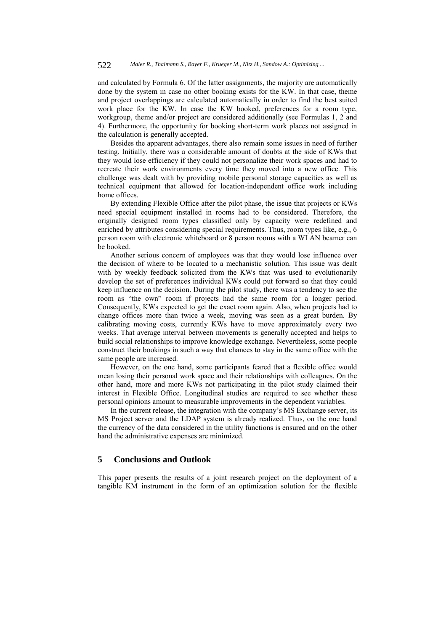and calculated by Formula 6. Of the latter assignments, the majority are automatically done by the system in case no other booking exists for the KW. In that case, theme and project overlappings are calculated automatically in order to find the best suited work place for the KW. In case the KW booked, preferences for a room type, workgroup, theme and/or project are considered additionally (see Formulas 1, 2 and 4). Furthermore, the opportunity for booking short-term work places not assigned in the calculation is generally accepted.

Besides the apparent advantages, there also remain some issues in need of further testing. Initially, there was a considerable amount of doubts at the side of KWs that they would lose efficiency if they could not personalize their work spaces and had to recreate their work environments every time they moved into a new office. This challenge was dealt with by providing mobile personal storage capacities as well as technical equipment that allowed for location-independent office work including home offices.

By extending Flexible Office after the pilot phase, the issue that projects or KWs need special equipment installed in rooms had to be considered. Therefore, the originally designed room types classified only by capacity were redefined and enriched by attributes considering special requirements. Thus, room types like, e.g., 6 person room with electronic whiteboard or 8 person rooms with a WLAN beamer can be booked.

Another serious concern of employees was that they would lose influence over the decision of where to be located to a mechanistic solution. This issue was dealt with by weekly feedback solicited from the KWs that was used to evolutionarily develop the set of preferences individual KWs could put forward so that they could keep influence on the decision. During the pilot study, there was a tendency to see the room as "the own" room if projects had the same room for a longer period. Consequently, KWs expected to get the exact room again. Also, when projects had to change offices more than twice a week, moving was seen as a great burden. By calibrating moving costs, currently KWs have to move approximately every two weeks. That average interval between movements is generally accepted and helps to build social relationships to improve knowledge exchange. Nevertheless, some people construct their bookings in such a way that chances to stay in the same office with the same people are increased.

However, on the one hand, some participants feared that a flexible office would mean losing their personal work space and their relationships with colleagues. On the other hand, more and more KWs not participating in the pilot study claimed their interest in Flexible Office. Longitudinal studies are required to see whether these personal opinions amount to measurable improvements in the dependent variables.

In the current release, the integration with the company's MS Exchange server, its MS Project server and the LDAP system is already realized. Thus, on the one hand the currency of the data considered in the utility functions is ensured and on the other hand the administrative expenses are minimized.

# **5 Conclusions and Outlook**

This paper presents the results of a joint research project on the deployment of a tangible KM instrument in the form of an optimization solution for the flexible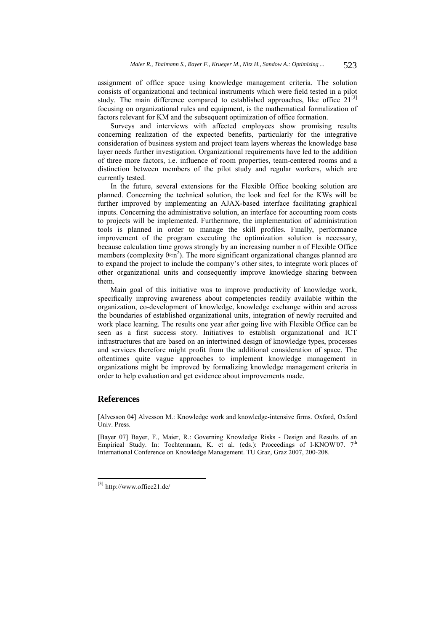assignment of office space using knowledge management criteria. The solution consists of organizational and technical instruments which were field tested in a pilot study. The main difference compared to established approaches, like office  $21^{[3]}$ focusing on organizational rules and equipment, is the mathematical formalization of factors relevant for KM and the subsequent optimization of office formation.

Surveys and interviews with affected employees show promising results concerning realization of the expected benefits, particularly for the integrative consideration of business system and project team layers whereas the knowledge base layer needs further investigation. Organizational requirements have led to the addition of three more factors, i.e. influence of room properties, team-centered rooms and a distinction between members of the pilot study and regular workers, which are currently tested.

In the future, several extensions for the Flexible Office booking solution are planned. Concerning the technical solution, the look and feel for the KWs will be further improved by implementing an AJAX-based interface facilitating graphical inputs. Concerning the administrative solution, an interface for accounting room costs to projects will be implemented. Furthermore, the implementation of administration tools is planned in order to manage the skill profiles. Finally, performance improvement of the program executing the optimization solution is necessary, because calculation time grows strongly by an increasing number n of Flexible Office members (complexity  $\theta \approx n^2$ ). The more significant organizational changes planned are to expand the project to include the company's other sites, to integrate work places of other organizational units and consequently improve knowledge sharing between them.

Main goal of this initiative was to improve productivity of knowledge work, specifically improving awareness about competencies readily available within the organization, co-development of knowledge, knowledge exchange within and across the boundaries of established organizational units, integration of newly recruited and work place learning. The results one year after going live with Flexible Office can be seen as a first success story. Initiatives to establish organizational and ICT infrastructures that are based on an intertwined design of knowledge types, processes and services therefore might profit from the additional consideration of space. The oftentimes quite vague approaches to implement knowledge management in organizations might be improved by formalizing knowledge management criteria in order to help evaluation and get evidence about improvements made.

# **References**

l

[Alvesson 04] Alvesson M.: Knowledge work and knowledge-intensive firms. Oxford, Oxford Univ. Press.

[Bayer 07] Bayer, F., Maier, R.: Governing Knowledge Risks - Design and Results of an Empirical Study. In: Tochtermann, K. et al. (eds.): Proceedings of I-KNOW'07.  $7<sup>th</sup>$ International Conference on Knowledge Management. TU Graz, Graz 2007, 200-208.

<sup>[3]</sup> http://www.office21.de/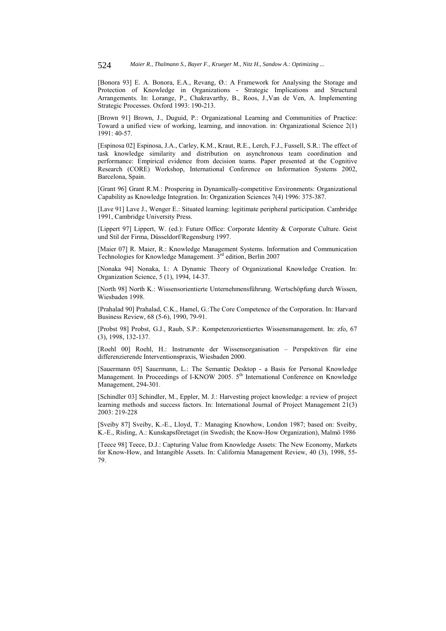[Bonora 93] E. A. Bonora, E.A., Revang, Ø.: A Framework for Analysing the Storage and Protection of Knowledge in Organizations - Strategic Implications and Structural Arrangements. In: Lorange, P., Chakravarthy, B., Roos, J.,Van de Ven, A. Implementing Strategic Processes. Oxford 1993: 190-213.

[Brown 91] Brown, J., Duguid, P.: Organizational Learning and Communities of Practice: Toward a unified view of working, learning, and innovation. in: Organizational Science 2(1) 1991: 40-57.

[Espinosa 02] Espinosa, J.A., Carley, K.M., Kraut, R.E., Lerch, F.J., Fussell, S.R.: The effect of task knowledge similarity and distribution on asynchronous team coordination and performance: Empirical evidence from decision teams. Paper presented at the Cognitive Research (CORE) Workshop, International Conference on Information Systems 2002, Barcelona, Spain.

[Grant 96] Grant R.M.: Prospering in Dynamically-competitive Environments: Organizational Capability as Knowledge Integration. In: Organization Sciences 7(4) 1996: 375-387.

[Lave 91] Lave J., Wenger E.: Situated learning: legitimate peripheral participation. Cambridge 1991, Cambridge University Press.

[Lippert 97] Lippert, W. (ed.): Future Office: Corporate Identity & Corporate Culture. Geist und Stil der Firma, Düsseldorf/Regensburg 1997.

[Maier 07] R. Maier, R.: Knowledge Management Systems. Information and Communication Technologies for Knowledge Management. 3rd edition, Berlin 2007

[Nonaka 94] Nonaka, I.: A Dynamic Theory of Organizational Knowledge Creation. In: Organization Science, 5 (1), 1994, 14-37.

[North 98] North K.: Wissensorientierte Unternehmensführung. Wertschöpfung durch Wissen, Wiesbaden 1998.

[Prahalad 90] Prahalad, C.K., Hamel, G.:The Core Competence of the Corporation. In: Harvard Business Review, 68 (5-6), 1990, 79-91.

[Probst 98] Probst, G.J., Raub, S.P.: Kompetenzorientiertes Wissensmanagement. In: zfo, 67 (3), 1998, 132-137.

[Roehl 00] Roehl, H.: Instrumente der Wissensorganisation – Perspektiven für eine differenzierende Interventionspraxis, Wiesbaden 2000.

[Sauermann 05] Sauermann, L.: The Semantic Desktop - a Basis for Personal Knowledge Management. In Proceedings of I-KNOW 2005. 5<sup>th</sup> International Conference on Knowledge Management, 294-301.

[Schindler 03] Schindler, M., Eppler, M. J.: Harvesting project knowledge: a review of project learning methods and success factors. In: International Journal of Project Management 21(3) 2003: 219-228

[Sveiby 87] Sveiby, K.-E., Lloyd, T.: Managing Knowhow, London 1987; based on: Sveiby, K.-E., Risling, A.: Kunskapsföretaget (in Swedish; the Know-How Organization), Malmö 1986

[Teece 98] Teece, D.J.: Capturing Value from Knowledge Assets: The New Economy, Markets for Know-How, and Intangible Assets. In: California Management Review, 40 (3), 1998, 55- 79.